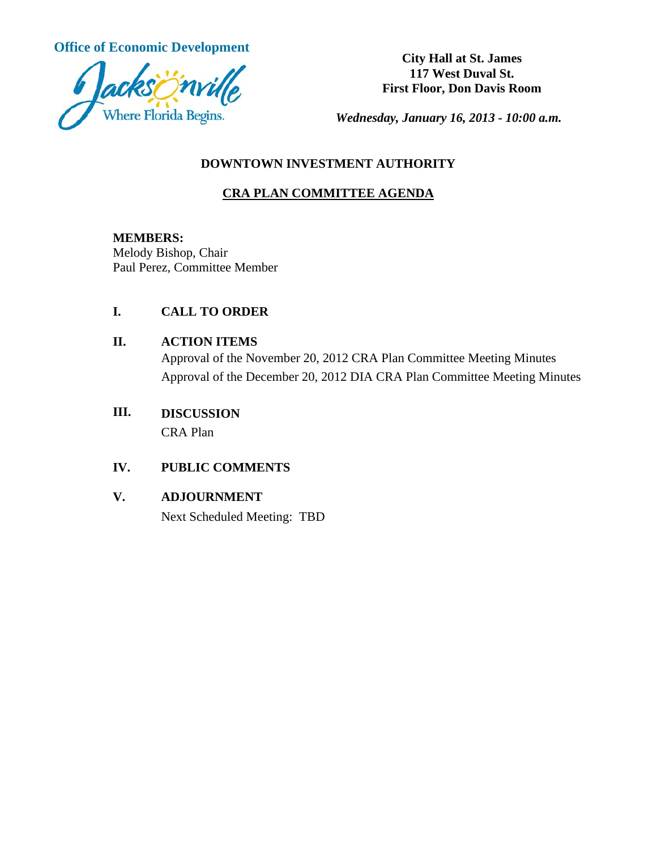**Office of Economic Development City Hall at St. James** 



**117 West Duval St. First Floor, Don Davis Room**

*Wednesday, January 16, 2013 - 10:00 a.m.*

### **DOWNTOWN INVESTMENT AUTHORITY**

# **CRA PLAN COMMITTEE AGENDA**

**MEMBERS:**

Melody Bishop, Chair Paul Perez, Committee Member

# **I. CALL TO ORDER**

#### **II. ACTION ITEMS**

Approval of the November 20, 2012 CRA Plan Committee Meeting Minutes Approval of the December 20, 2012 DIA CRA Plan Committee Meeting Minutes

# **III. DISCUSSION** CRA Plan

# **IV. PUBLIC COMMENTS**

#### **V. ADJOURNMENT**

Next Scheduled Meeting: TBD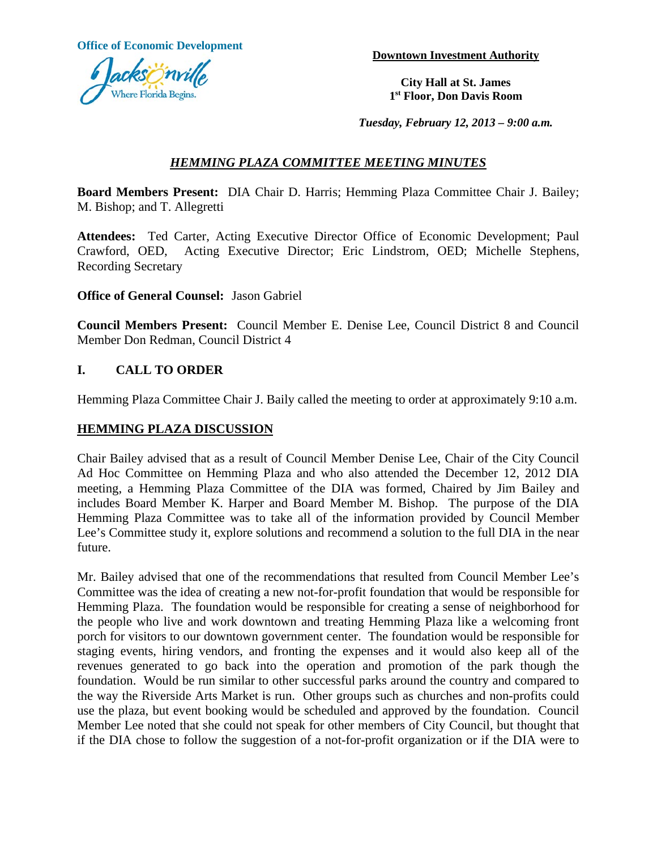**Office of Economic Development Downtown Investment Authority** 



**City Hall at St. James 1st Floor, Don Davis Room**

*Tuesday, February 12, 2013 – 9:00 a.m.*

### *HEMMING PLAZA COMMITTEE MEETING MINUTES*

**Board Members Present:** DIA Chair D. Harris; Hemming Plaza Committee Chair J. Bailey; M. Bishop; and T. Allegretti

**Attendees:** Ted Carter, Acting Executive Director Office of Economic Development; Paul Crawford, OED, Acting Executive Director; Eric Lindstrom, OED; Michelle Stephens, Recording Secretary

**Office of General Counsel:** Jason Gabriel

**Council Members Present:** Council Member E. Denise Lee, Council District 8 and Council Member Don Redman, Council District 4

#### **I. CALL TO ORDER**

Hemming Plaza Committee Chair J. Baily called the meeting to order at approximately 9:10 a.m.

#### **HEMMING PLAZA DISCUSSION**

Chair Bailey advised that as a result of Council Member Denise Lee, Chair of the City Council Ad Hoc Committee on Hemming Plaza and who also attended the December 12, 2012 DIA meeting, a Hemming Plaza Committee of the DIA was formed, Chaired by Jim Bailey and includes Board Member K. Harper and Board Member M. Bishop. The purpose of the DIA Hemming Plaza Committee was to take all of the information provided by Council Member Lee's Committee study it, explore solutions and recommend a solution to the full DIA in the near future.

Mr. Bailey advised that one of the recommendations that resulted from Council Member Lee's Committee was the idea of creating a new not-for-profit foundation that would be responsible for Hemming Plaza. The foundation would be responsible for creating a sense of neighborhood for the people who live and work downtown and treating Hemming Plaza like a welcoming front porch for visitors to our downtown government center. The foundation would be responsible for staging events, hiring vendors, and fronting the expenses and it would also keep all of the revenues generated to go back into the operation and promotion of the park though the foundation. Would be run similar to other successful parks around the country and compared to the way the Riverside Arts Market is run. Other groups such as churches and non-profits could use the plaza, but event booking would be scheduled and approved by the foundation. Council Member Lee noted that she could not speak for other members of City Council, but thought that if the DIA chose to follow the suggestion of a not-for-profit organization or if the DIA were to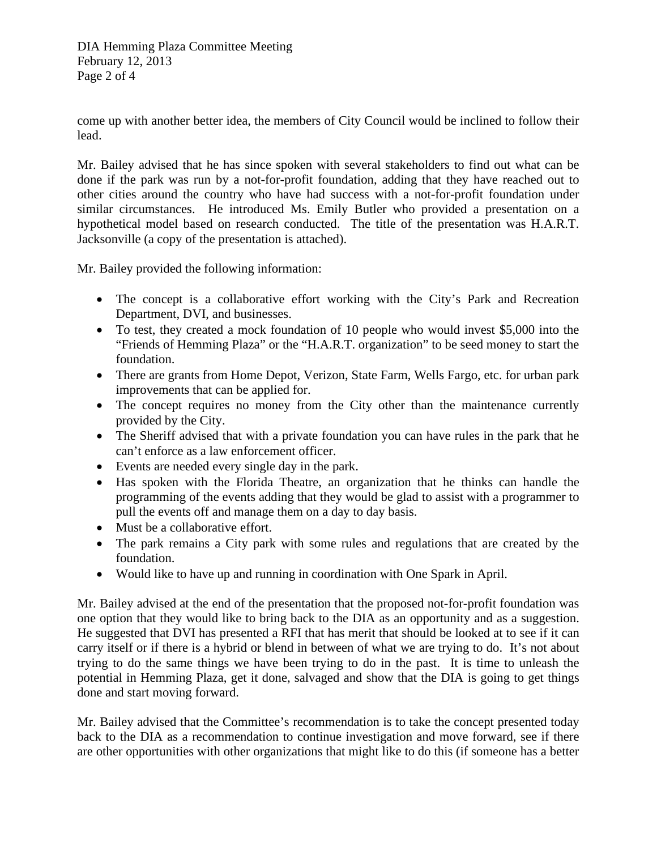DIA Hemming Plaza Committee Meeting February 12, 2013 Page 2 of 4

come up with another better idea, the members of City Council would be inclined to follow their lead.

Mr. Bailey advised that he has since spoken with several stakeholders to find out what can be done if the park was run by a not-for-profit foundation, adding that they have reached out to other cities around the country who have had success with a not-for-profit foundation under similar circumstances. He introduced Ms. Emily Butler who provided a presentation on a hypothetical model based on research conducted. The title of the presentation was H.A.R.T. Jacksonville (a copy of the presentation is attached).

Mr. Bailey provided the following information:

- The concept is a collaborative effort working with the City's Park and Recreation Department, DVI, and businesses.
- To test, they created a mock foundation of 10 people who would invest \$5,000 into the "Friends of Hemming Plaza" or the "H.A.R.T. organization" to be seed money to start the foundation.
- There are grants from Home Depot, Verizon, State Farm, Wells Fargo, etc. for urban park improvements that can be applied for.
- The concept requires no money from the City other than the maintenance currently provided by the City.
- The Sheriff advised that with a private foundation you can have rules in the park that he can't enforce as a law enforcement officer.
- Events are needed every single day in the park.
- Has spoken with the Florida Theatre, an organization that he thinks can handle the programming of the events adding that they would be glad to assist with a programmer to pull the events off and manage them on a day to day basis.
- Must be a collaborative effort.
- The park remains a City park with some rules and regulations that are created by the foundation.
- Would like to have up and running in coordination with One Spark in April.

Mr. Bailey advised at the end of the presentation that the proposed not-for-profit foundation was one option that they would like to bring back to the DIA as an opportunity and as a suggestion. He suggested that DVI has presented a RFI that has merit that should be looked at to see if it can carry itself or if there is a hybrid or blend in between of what we are trying to do. It's not about trying to do the same things we have been trying to do in the past. It is time to unleash the potential in Hemming Plaza, get it done, salvaged and show that the DIA is going to get things done and start moving forward.

Mr. Bailey advised that the Committee's recommendation is to take the concept presented today back to the DIA as a recommendation to continue investigation and move forward, see if there are other opportunities with other organizations that might like to do this (if someone has a better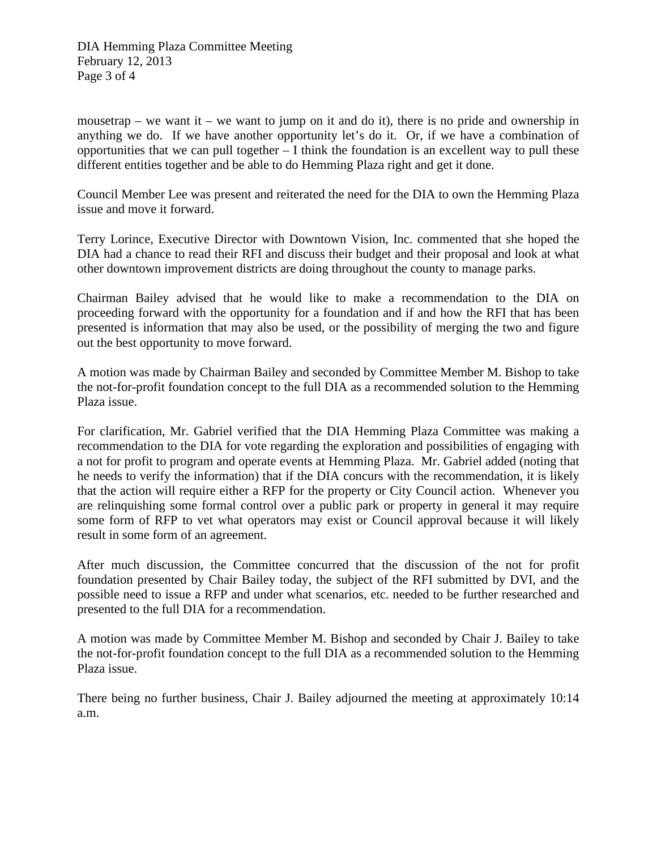DIA Hemming Plaza Committee Meeting February 12, 2013 Page 3 of 4

mousetrap – we want it – we want to jump on it and do it), there is no pride and ownership in anything we do. If we have another opportunity let's do it. Or, if we have a combination of opportunities that we can pull together  $- I$  think the foundation is an excellent way to pull these different entities together and be able to do Hemming Plaza right and get it done.

Council Member Lee was present and reiterated the need for the DIA to own the Hemming Plaza issue and move it forward.

Terry Lorince, Executive Director with Downtown Vision, Inc. commented that she hoped the DIA had a chance to read their RFI and discuss their budget and their proposal and look at what other downtown improvement districts are doing throughout the county to manage parks.

Chairman Bailey advised that he would like to make a recommendation to the DIA on proceeding forward with the opportunity for a foundation and if and how the RFI that has been presented is information that may also be used, or the possibility of merging the two and figure out the best opportunity to move forward.

A motion was made by Chairman Bailey and seconded by Committee Member M. Bishop to take the not-for-profit foundation concept to the full DIA as a recommended solution to the Hemming Plaza issue.

For clarification, Mr. Gabriel verified that the DIA Hemming Plaza Committee was making a recommendation to the DIA for vote regarding the exploration and possibilities of engaging with a not for profit to program and operate events at Hemming Plaza. Mr. Gabriel added (noting that he needs to verify the information) that if the DIA concurs with the recommendation, it is likely that the action will require either a RFP for the property or City Council action. Whenever you are relinquishing some formal control over a public park or property in general it may require some form of RFP to vet what operators may exist or Council approval because it will likely result in some form of an agreement.

After much discussion, the Committee concurred that the discussion of the not for profit foundation presented by Chair Bailey today, the subject of the RFI submitted by DVI, and the possible need to issue a RFP and under what scenarios, etc. needed to be further researched and presented to the full DIA for a recommendation.

A motion was made by Committee Member M. Bishop and seconded by Chair J. Bailey to take the not-for-profit foundation concept to the full DIA as a recommended solution to the Hemming Plaza issue.

There being no further business, Chair J. Bailey adjourned the meeting at approximately 10:14 a.m.